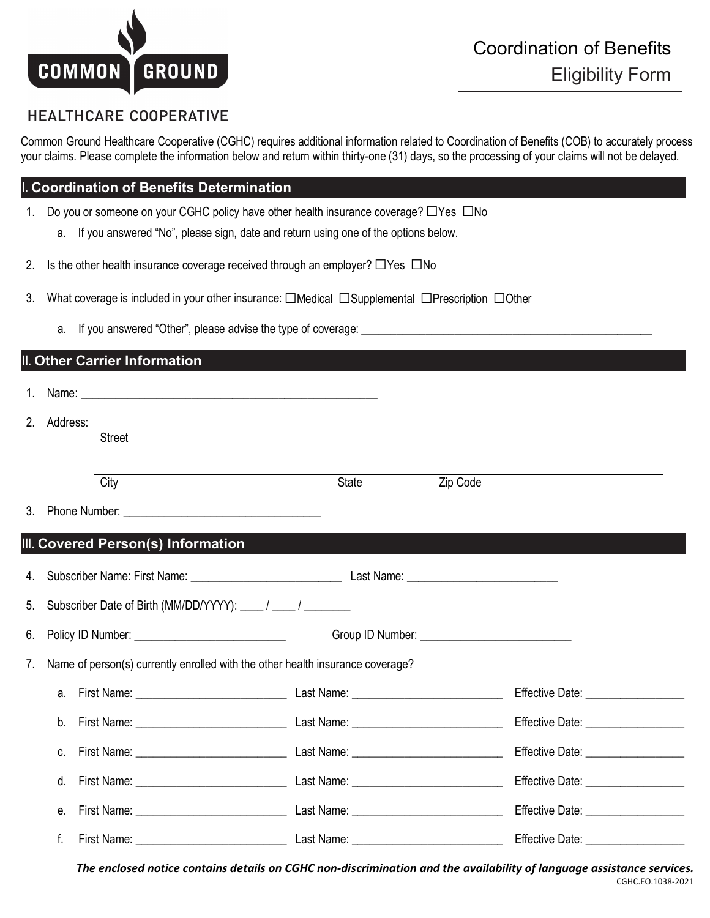

## **HEALTHCARE COOPERATIVE**

Common Ground Healthcare Cooperative (CGHC) requires additional information related to Coordination of Benefits (COB) to accurately process your claims. Please complete the information below and return within thirty-one (31) days, so the processing of your claims will not be delayed.

## **I. Coordination of Benefits Determination**

- 1. Do you or someone on your CGHC policy have other health insurance coverage? ☐Yes ☐No
	- a. If you answered "No", please sign, date and return using one of the options below.
- 2. Is the other health insurance coverage received through an employer?  $\Box$ Yes  $\Box$ No
- 3. What coverage is included in your other insurance: □Medical □Supplemental □Prescription □Other
	- a. If you answered "Other", please advise the type of coverage: \_\_\_\_\_\_\_\_\_\_\_\_\_\_\_\_

| II. Other Carrier Information |             |                                                                                                                |       |          |  |  |  |  |  |  |  |
|-------------------------------|-------------|----------------------------------------------------------------------------------------------------------------|-------|----------|--|--|--|--|--|--|--|
|                               |             | 1. Name: 1. 2008. 2008. 2010. 2010. 2010. 2010. 2010. 2010. 2011. 2012. 2014. 2016. 2017. 2018. 2019. 2010. 20 |       |          |  |  |  |  |  |  |  |
|                               | 2. Address: | ,我们也不会有什么。""我们的人,我们也不会有什么?""我们的人,我们也不会有什么?""我们的人,我们也不会有什么?""我们的人,我们也不会有什么?""我们的人                               |       |          |  |  |  |  |  |  |  |
|                               |             | Street                                                                                                         |       |          |  |  |  |  |  |  |  |
|                               |             | $\overline{City}$                                                                                              | State | Zip Code |  |  |  |  |  |  |  |
|                               |             |                                                                                                                |       |          |  |  |  |  |  |  |  |
|                               |             | III. Covered Person(s) Information                                                                             |       |          |  |  |  |  |  |  |  |
|                               |             |                                                                                                                |       |          |  |  |  |  |  |  |  |
| 5.                            |             | Subscriber Date of Birth (MM/DD/YYYY): ____ / ____ / ________                                                  |       |          |  |  |  |  |  |  |  |
| 6.                            |             |                                                                                                                |       |          |  |  |  |  |  |  |  |
| 7.                            |             | Name of person(s) currently enrolled with the other health insurance coverage?                                 |       |          |  |  |  |  |  |  |  |
|                               | a.          |                                                                                                                |       |          |  |  |  |  |  |  |  |
|                               | b.          |                                                                                                                |       |          |  |  |  |  |  |  |  |
|                               | C.          |                                                                                                                |       |          |  |  |  |  |  |  |  |
|                               | d.          |                                                                                                                |       |          |  |  |  |  |  |  |  |
|                               | $e_{i}$     |                                                                                                                |       |          |  |  |  |  |  |  |  |
|                               | f.          |                                                                                                                |       |          |  |  |  |  |  |  |  |

*The enclosed notice contains details on CGHC non-discrimination and the availability of language assistance services.*